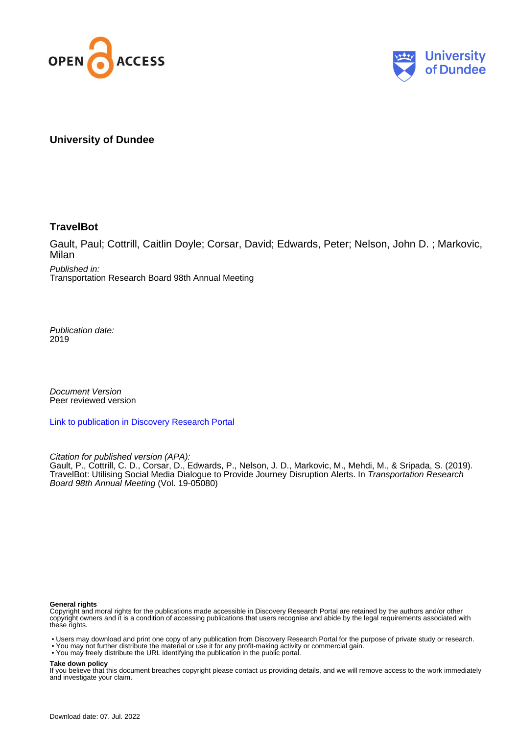



# **University of Dundee**

# **TravelBot**

Gault, Paul; Cottrill, Caitlin Doyle; Corsar, David; Edwards, Peter; Nelson, John D. ; Markovic, Milan

Published in: Transportation Research Board 98th Annual Meeting

Publication date: 2019

Document Version Peer reviewed version

[Link to publication in Discovery Research Portal](https://discovery.dundee.ac.uk/en/publications/ac5e9264-a59e-4bf0-bd6a-96ba2de64a73)

Citation for published version (APA):

Gault, P., Cottrill, C. D., Corsar, D., Edwards, P., Nelson, J. D., Markovic, M., Mehdi, M., & Sripada, S. (2019). TravelBot: Utilising Social Media Dialogue to Provide Journey Disruption Alerts. In Transportation Research Board 98th Annual Meeting (Vol. 19-05080)

#### **General rights**

Copyright and moral rights for the publications made accessible in Discovery Research Portal are retained by the authors and/or other copyright owners and it is a condition of accessing publications that users recognise and abide by the legal requirements associated with these rights.

- Users may download and print one copy of any publication from Discovery Research Portal for the purpose of private study or research.
- You may not further distribute the material or use it for any profit-making activity or commercial gain.
- You may freely distribute the URL identifying the publication in the public portal.

**Take down policy**

If you believe that this document breaches copyright please contact us providing details, and we will remove access to the work immediately and investigate your claim.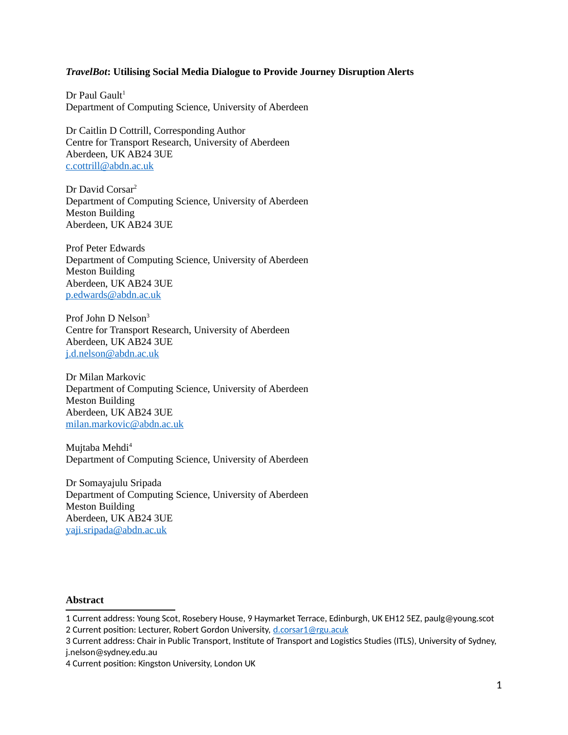### *TravelBot***: Utilising Social Media Dialogue to Provide Journey Disruption Alerts**

Dr Paul Gault<sup>[1](#page-1-0)</sup> Department of Computing Science, University of Aberdeen

Dr Caitlin D Cottrill, Corresponding Author Centre for Transport Research, University of Aberdeen Aberdeen, UK AB24 3UE [c.cottrill@abdn.ac.uk](mailto:c.cottrill@abdn.ac.uk)

Dr David Corsar<sup>[2](#page-1-1)</sup> Department of Computing Science, University of Aberdeen Meston Building Aberdeen, UK AB24 3UE

Prof Peter Edwards Department of Computing Science, University of Aberdeen Meston Building Aberdeen, UK AB24 3UE [p.edwards@abdn.ac.uk](mailto:p.edwards@abdn.ac.uk)

Prof John D Nelson<sup>[3](#page-1-2)</sup> Centre for Transport Research, University of Aberdeen Aberdeen, UK AB24 3UE [j.d.nelson@abdn.ac.uk](mailto:j.d.nelson@abdn.ac.uk)

Dr Milan Markovic Department of Computing Science, University of Aberdeen Meston Building Aberdeen, UK AB24 3UE [milan.markovic@abdn.ac.uk](mailto:milan.markovic@abdn.ac.uk)

Mujtaba Mehdi<sup>[4](#page-1-3)</sup> Department of Computing Science, University of Aberdeen

Dr Somayajulu Sripada Department of Computing Science, University of Aberdeen Meston Building Aberdeen, UK AB24 3UE [yaji.sripada@abdn.ac.uk](mailto:yaji.sripada@abdn.ac.uk)

### **Abstract**

<span id="page-1-1"></span><span id="page-1-0"></span><sup>1</sup> Current address: Young Scot, Rosebery House, 9 Haymarket Terrace, Edinburgh, UK EH12 5EZ, paulg@young.scot 2 Current position: Lecturer, Robert Gordon University, [d.corsar1@rgu.acuk](mailto:d.corsar1@rgu.acuk)

<span id="page-1-2"></span><sup>3</sup> Current address: Chair in Public Transport, Institute of Transport and Logistics Studies (ITLS), University of Sydney, j.nelson@sydney.edu.au

<span id="page-1-3"></span><sup>4</sup> Current position: Kingston University, London UK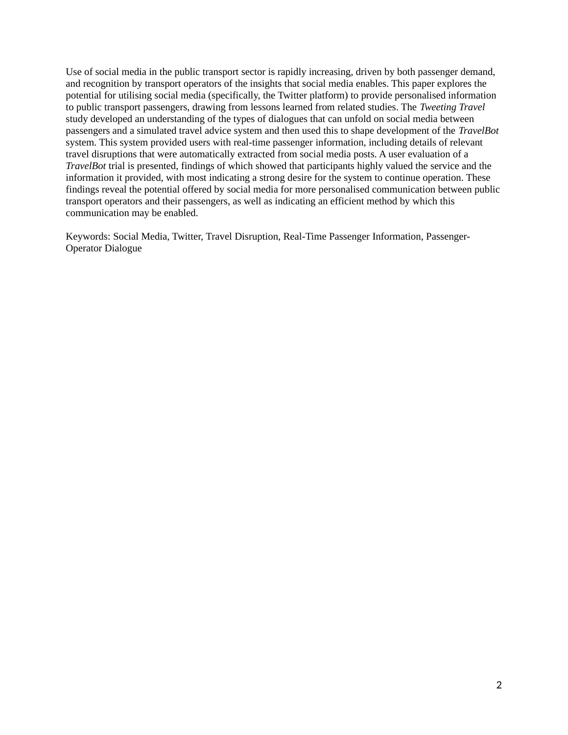Use of social media in the public transport sector is rapidly increasing, driven by both passenger demand, and recognition by transport operators of the insights that social media enables. This paper explores the potential for utilising social media (specifically, the Twitter platform) to provide personalised information to public transport passengers, drawing from lessons learned from related studies. The *Tweeting Travel* study developed an understanding of the types of dialogues that can unfold on social media between passengers and a simulated travel advice system and then used this to shape development of the *TravelBot* system. This system provided users with real-time passenger information, including details of relevant travel disruptions that were automatically extracted from social media posts. A user evaluation of a *TravelBot* trial is presented, findings of which showed that participants highly valued the service and the information it provided, with most indicating a strong desire for the system to continue operation. These findings reveal the potential offered by social media for more personalised communication between public transport operators and their passengers, as well as indicating an efficient method by which this communication may be enabled.

Keywords: Social Media, Twitter, Travel Disruption, Real-Time Passenger Information, Passenger-Operator Dialogue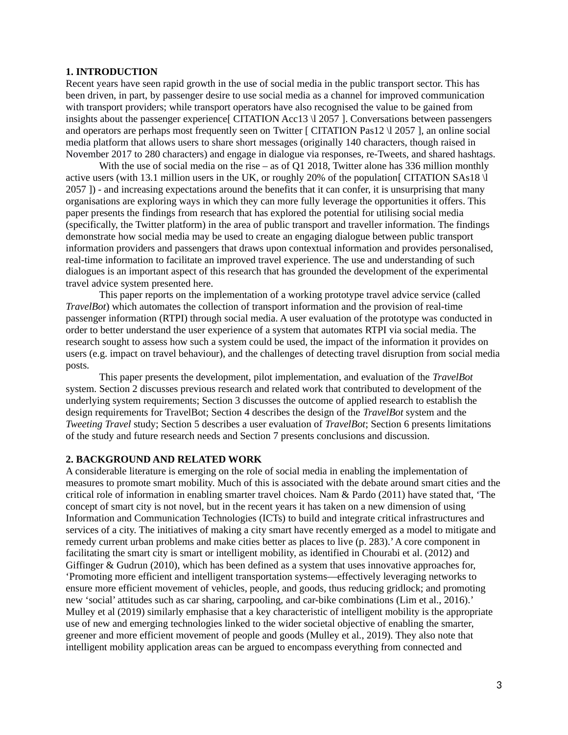### **1. INTRODUCTION**

Recent years have seen rapid growth in the use of social media in the public transport sector. This has been driven, in part, by passenger desire to use social media as a channel for improved communication with transport providers; while transport operators have also recognised the value to be gained from insights about the passenger experience [ CITATION Acc13 \l 2057 ]. Conversations between passengers and operators are perhaps most frequently seen on Twitter [ CITATION Pas12 \l 2057 ], an online social media platform that allows users to share short messages (originally 140 characters, though raised in November 2017 to 280 characters) and engage in dialogue via responses, re-Tweets, and shared hashtags.

With the use of social media on the rise – as of Q1 2018, Twitter alone has 336 million monthly active users (with 13.1 million users in the UK, or roughly 20% of the population [CITATION SAs18  $\rm{U}$ 2057 ]) - and increasing expectations around the benefits that it can confer, it is unsurprising that many organisations are exploring ways in which they can more fully leverage the opportunities it offers. This paper presents the findings from research that has explored the potential for utilising social media (specifically, the Twitter platform) in the area of public transport and traveller information. The findings demonstrate how social media may be used to create an engaging dialogue between public transport information providers and passengers that draws upon contextual information and provides personalised, real-time information to facilitate an improved travel experience. The use and understanding of such dialogues is an important aspect of this research that has grounded the development of the experimental travel advice system presented here.

This paper reports on the implementation of a working prototype travel advice service (called *TravelBot*) which automates the collection of transport information and the provision of real-time passenger information (RTPI) through social media. A user evaluation of the prototype was conducted in order to better understand the user experience of a system that automates RTPI via social media. The research sought to assess how such a system could be used, the impact of the information it provides on users (e.g. impact on travel behaviour), and the challenges of detecting travel disruption from social media posts.

This paper presents the development, pilot implementation, and evaluation of the *TravelBot*  system. Section 2 discusses previous research and related work that contributed to development of the underlying system requirements; Section 3 discusses the outcome of applied research to establish the design requirements for TravelBot; Section 4 describes the design of the *TravelBot* system and the *Tweeting Travel* study; Section 5 describes a user evaluation of *TravelBot*; Section 6 presents limitations of the study and future research needs and Section 7 presents conclusions and discussion.

# **2. BACKGROUND AND RELATED WORK**

A considerable literature is emerging on the role of social media in enabling the implementation of measures to promote smart mobility. Much of this is associated with the debate around smart cities and the critical role of information in enabling smarter travel choices. Nam & Pardo (2011) have stated that, 'The concept of smart city is not novel, but in the recent years it has taken on a new dimension of using Information and Communication Technologies (ICTs) to build and integrate critical infrastructures and services of a city. The initiatives of making a city smart have recently emerged as a model to mitigate and remedy current urban problems and make cities better as places to live (p. 283).' A core component in facilitating the smart city is smart or intelligent mobility, as identified in Chourabi et al. (2012) and Giffinger & Gudrun (2010), which has been defined as a system that uses innovative approaches for, 'Promoting more efficient and intelligent transportation systems—effectively leveraging networks to ensure more efficient movement of vehicles, people, and goods, thus reducing gridlock; and promoting new 'social' attitudes such as car sharing, carpooling, and car-bike combinations (Lim et al., 2016).' Mulley et al (2019) similarly emphasise that a key characteristic of intelligent mobility is the appropriate use of new and emerging technologies linked to the wider societal objective of enabling the smarter, greener and more efficient movement of people and goods (Mulley et al., 2019). They also note that intelligent mobility application areas can be argued to encompass everything from connected and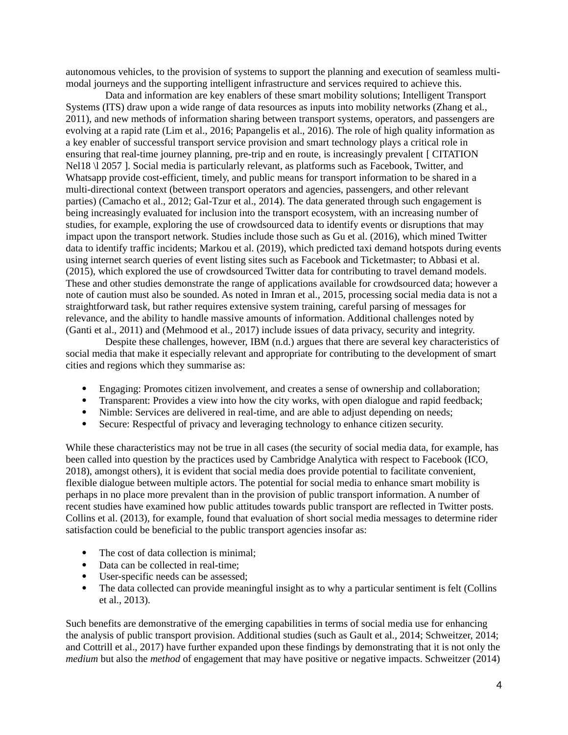autonomous vehicles, to the provision of systems to support the planning and execution of seamless multimodal journeys and the supporting intelligent infrastructure and services required to achieve this.

Data and information are key enablers of these smart mobility solutions; Intelligent Transport Systems (ITS) draw upon a wide range of data resources as inputs into mobility networks (Zhang et al., 2011), and new methods of information sharing between transport systems, operators, and passengers are evolving at a rapid rate (Lim et al., 2016; Papangelis et al., 2016). The role of high quality information as a key enabler of successful transport service provision and smart technology plays a critical role in ensuring that real-time journey planning, pre-trip and en route, is increasingly prevalent [ CITATION Nel18 \l 2057 ]. Social media is particularly relevant, as platforms such as Facebook, Twitter, and Whatsapp provide cost-efficient, timely, and public means for transport information to be shared in a multi-directional context (between transport operators and agencies, passengers, and other relevant parties) (Camacho et al., 2012; Gal-Tzur et al., 2014). The data generated through such engagement is being increasingly evaluated for inclusion into the transport ecosystem, with an increasing number of studies, for example, exploring the use of crowdsourced data to identify events or disruptions that may impact upon the transport network. Studies include those such as Gu et al. (2016), which mined Twitter data to identify traffic incidents; Markou et al. (2019), which predicted taxi demand hotspots during events using internet search queries of event listing sites such as Facebook and Ticketmaster; to Abbasi et al. (2015), which explored the use of crowdsourced Twitter data for contributing to travel demand models. These and other studies demonstrate the range of applications available for crowdsourced data; however a note of caution must also be sounded. As noted in Imran et al., 2015, processing social media data is not a straightforward task, but rather requires extensive system training, careful parsing of messages for relevance, and the ability to handle massive amounts of information. Additional challenges noted by (Ganti et al., 2011) and (Mehmood et al., 2017) include issues of data privacy, security and integrity.

Despite these challenges, however, IBM (n.d.) argues that there are several key characteristics of social media that make it especially relevant and appropriate for contributing to the development of smart cities and regions which they summarise as:

- Engaging: Promotes citizen involvement, and creates a sense of ownership and collaboration;
- Transparent: Provides a view into how the city works, with open dialogue and rapid feedback;
- Nimble: Services are delivered in real-time, and are able to adjust depending on needs;
- Secure: Respectful of privacy and leveraging technology to enhance citizen security.

While these characteristics may not be true in all cases (the security of social media data, for example, has been called into question by the practices used by Cambridge Analytica with respect to Facebook (ICO, 2018), amongst others), it is evident that social media does provide potential to facilitate convenient, flexible dialogue between multiple actors. The potential for social media to enhance smart mobility is perhaps in no place more prevalent than in the provision of public transport information. A number of recent studies have examined how public attitudes towards public transport are reflected in Twitter posts. Collins et al. (2013), for example, found that evaluation of short social media messages to determine rider satisfaction could be beneficial to the public transport agencies insofar as:

- The cost of data collection is minimal;
- Data can be collected in real-time;
- User-specific needs can be assessed;
- The data collected can provide meaningful insight as to why a particular sentiment is felt (Collins et al., 2013).

Such benefits are demonstrative of the emerging capabilities in terms of social media use for enhancing the analysis of public transport provision. Additional studies (such as Gault et al., 2014; Schweitzer, 2014; and Cottrill et al., 2017) have further expanded upon these findings by demonstrating that it is not only the *medium* but also the *method* of engagement that may have positive or negative impacts. Schweitzer (2014)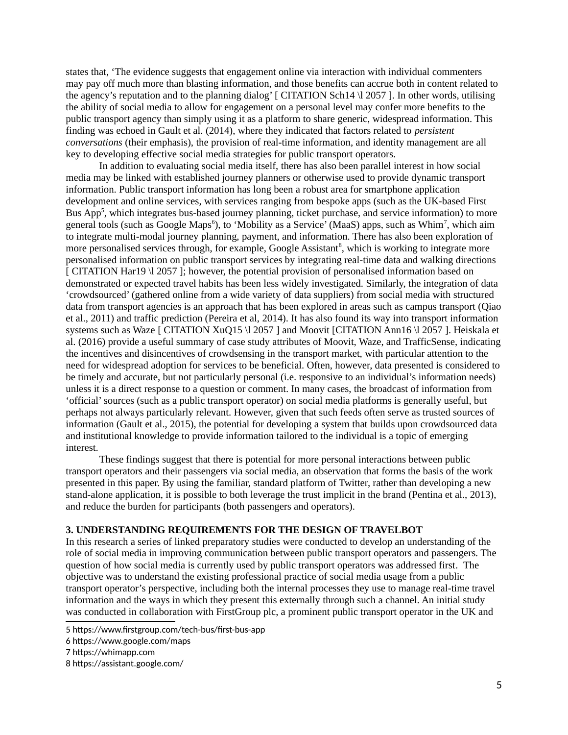states that, 'The evidence suggests that engagement online via interaction with individual commenters may pay off much more than blasting information, and those benefits can accrue both in content related to the agency's reputation and to the planning dialog'  $\lceil$  CITATION Sch14 \l 2057  $\lceil$ . In other words, utilising the ability of social media to allow for engagement on a personal level may confer more benefits to the public transport agency than simply using it as a platform to share generic, widespread information. This finding was echoed in Gault et al. (2014), where they indicated that factors related to *persistent conversations* (their emphasis), the provision of real-time information, and identity management are all key to developing effective social media strategies for public transport operators.

In addition to evaluating social media itself, there has also been parallel interest in how social media may be linked with established journey planners or otherwise used to provide dynamic transport information. Public transport information has long been a robust area for smartphone application development and online services, with services ranging from bespoke apps (such as the UK-based First Bus App<sup>[5](#page-5-0)</sup>, which integrates bus-based journey planning, ticket purchase, and service information) to more general tools (such as Google Maps $^6$  $^6$ ), to 'Mobility as a Service' (MaaS) apps, such as Whim<sup>[7](#page-5-2)</sup>, which aim to integrate multi-modal journey planning, payment, and information. There has also been exploration of more personalised services through, for example, Google Assistant<sup>[8](#page-5-3)</sup>, which is working to integrate more personalised information on public transport services by integrating real-time data and walking directions [ CITATION Har19 \l 2057 ]; however, the potential provision of personalised information based on demonstrated or expected travel habits has been less widely investigated. Similarly, the integration of data 'crowdsourced' (gathered online from a wide variety of data suppliers) from social media with structured data from transport agencies is an approach that has been explored in areas such as campus transport (Qiao et al., 2011) and traffic prediction (Pereira et al, 2014). It has also found its way into transport information systems such as Waze [ CITATION XuQ15 \l 2057 ] and Moovit [CITATION Ann16 \l 2057 ]. Heiskala et al. (2016) provide a useful summary of case study attributes of Moovit, Waze, and TrafficSense, indicating the incentives and disincentives of crowdsensing in the transport market, with particular attention to the need for widespread adoption for services to be beneficial. Often, however, data presented is considered to be timely and accurate, but not particularly personal (i.e. responsive to an individual's information needs) unless it is a direct response to a question or comment. In many cases, the broadcast of information from 'official' sources (such as a public transport operator) on social media platforms is generally useful, but perhaps not always particularly relevant. However, given that such feeds often serve as trusted sources of information (Gault et al., 2015), the potential for developing a system that builds upon crowdsourced data and institutional knowledge to provide information tailored to the individual is a topic of emerging interest.

These findings suggest that there is potential for more personal interactions between public transport operators and their passengers via social media, an observation that forms the basis of the work presented in this paper. By using the familiar, standard platform of Twitter, rather than developing a new stand-alone application, it is possible to both leverage the trust implicit in the brand (Pentina et al., 2013), and reduce the burden for participants (both passengers and operators).

# **3. UNDERSTANDING REQUIREMENTS FOR THE DESIGN OF TRAVELBOT**

In this research a series of linked preparatory studies were conducted to develop an understanding of the role of social media in improving communication between public transport operators and passengers. The question of how social media is currently used by public transport operators was addressed first*.* The objective was to understand the existing professional practice of social media usage from a public transport operator's perspective, including both the internal processes they use to manage real-time travel information and the ways in which they present this externally through such a channel. An initial study was conducted in collaboration with FirstGroup plc, a prominent public transport operator in the UK and

<span id="page-5-0"></span><sup>5</sup> https://www.firstgroup.com/tech-bus/first-bus-app

<span id="page-5-1"></span><sup>6</sup> https://www.google.com/maps

<span id="page-5-2"></span><sup>7</sup> https://whimapp.com

<span id="page-5-3"></span><sup>8</sup> https://assistant.google.com/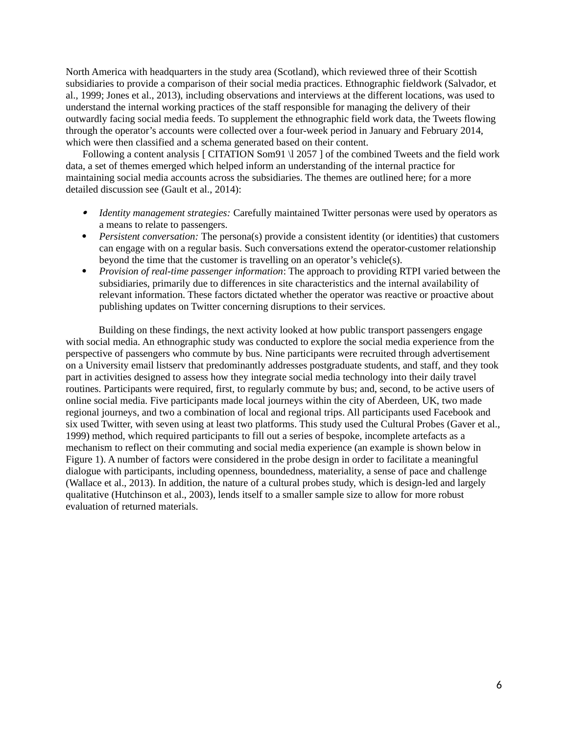North America with headquarters in the study area (Scotland), which reviewed three of their Scottish subsidiaries to provide a comparison of their social media practices. Ethnographic fieldwork (Salvador, et al., 1999; Jones et al., 2013), including observations and interviews at the different locations, was used to understand the internal working practices of the staff responsible for managing the delivery of their outwardly facing social media feeds. To supplement the ethnographic field work data, the Tweets flowing through the operator's accounts were collected over a four-week period in January and February 2014, which were then classified and a schema generated based on their content.

Following a content analysis [ CITATION Som91 \l 2057 ] of the combined Tweets and the field work data, a set of themes emerged which helped inform an understanding of the internal practice for maintaining social media accounts across the subsidiaries. The themes are outlined here; for a more detailed discussion see (Gault et al., 2014):

- . *Identity management strategies:* Carefully maintained Twitter personas were used by operators as a means to relate to passengers.
- *Persistent conversation:* The persona(s) provide a consistent identity (or identities) that customers can engage with on a regular basis. Such conversations extend the operator-customer relationship beyond the time that the customer is travelling on an operator's vehicle(s).
- *Provision of real-time passenger information*: The approach to providing RTPI varied between the subsidiaries, primarily due to differences in site characteristics and the internal availability of relevant information. These factors dictated whether the operator was reactive or proactive about publishing updates on Twitter concerning disruptions to their services.

Building on these findings, the next activity looked at how public transport passengers engage with social media. An ethnographic study was conducted to explore the social media experience from the perspective of passengers who commute by bus. Nine participants were recruited through advertisement on a University email listserv that predominantly addresses postgraduate students, and staff, and they took part in activities designed to assess how they integrate social media technology into their daily travel routines. Participants were required, first, to regularly commute by bus; and, second, to be active users of online social media. Five participants made local journeys within the city of Aberdeen, UK, two made regional journeys, and two a combination of local and regional trips. All participants used Facebook and six used Twitter, with seven using at least two platforms. This study used the Cultural Probes (Gaver et al., 1999) method, which required participants to fill out a series of bespoke, incomplete artefacts as a mechanism to reflect on their commuting and social media experience (an example is shown below in Figure 1). A number of factors were considered in the probe design in order to facilitate a meaningful dialogue with participants, including openness, boundedness, materiality, a sense of pace and challenge (Wallace et al., 2013). In addition, the nature of a cultural probes study, which is design-led and largely qualitative (Hutchinson et al., 2003), lends itself to a smaller sample size to allow for more robust evaluation of returned materials.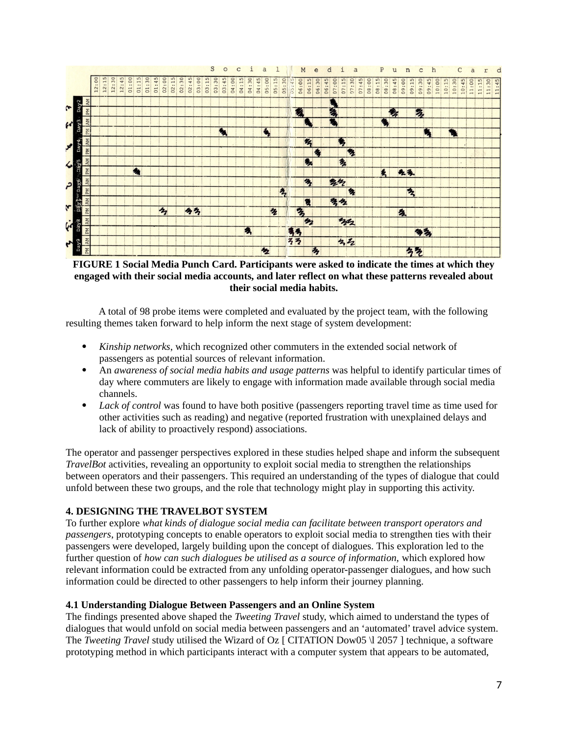

**FIGURE 1 Social Media Punch Card. Participants were asked to indicate the times at which they engaged with their social media accounts, and later reflect on what these patterns revealed about their social media habits.**

A total of 98 probe items were completed and evaluated by the project team, with the following resulting themes taken forward to help inform the next stage of system development:

- *Kinship networks*, which recognized other commuters in the extended social network of passengers as potential sources of relevant information.
- An *awareness of social media habits and usage patterns* was helpful to identify particular times of day where commuters are likely to engage with information made available through social media channels.
- *Lack of control* was found to have both positive (passengers reporting travel time as time used for other activities such as reading) and negative (reported frustration with unexplained delays and lack of ability to proactively respond) associations.

The operator and passenger perspectives explored in these studies helped shape and inform the subsequent *TravelBot* activities, revealing an opportunity to exploit social media to strengthen the relationships between operators and their passengers. This required an understanding of the types of dialogue that could unfold between these two groups, and the role that technology might play in supporting this activity.

# **4. DESIGNING THE TRAVELBOT SYSTEM**

To further explore *what kinds of dialogue social media can facilitate between transport operators and passengers*, prototyping concepts to enable operators to exploit social media to strengthen ties with their passengers were developed, largely building upon the concept of dialogues. This exploration led to the further question of *how can such dialogues be utilised as a source of information,* which explored how relevant information could be extracted from any unfolding operator-passenger dialogues, and how such information could be directed to other passengers to help inform their journey planning.

### **4.1 Understanding Dialogue Between Passengers and an Online System**

The findings presented above shaped the *Tweeting Travel* study, which aimed to understand the types of dialogues that would unfold on social media between passengers and an 'automated' travel advice system. The *Tweeting Travel* study utilised the Wizard of Oz [ CITATION Dow05 \l 2057 ] technique, a software prototyping method in which participants interact with a computer system that appears to be automated,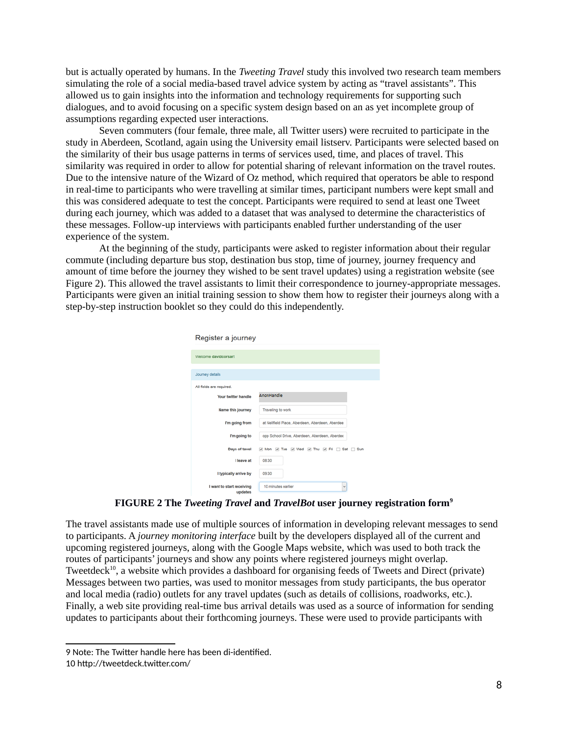but is actually operated by humans. In the *Tweeting Travel* study this involved two research team members simulating the role of a social media-based travel advice system by acting as "travel assistants". This allowed us to gain insights into the information and technology requirements for supporting such dialogues, and to avoid focusing on a specific system design based on an as yet incomplete group of assumptions regarding expected user interactions.

Seven commuters (four female, three male, all Twitter users) were recruited to participate in the study in Aberdeen, Scotland, again using the University email listserv. Participants were selected based on the similarity of their bus usage patterns in terms of services used, time, and places of travel. This similarity was required in order to allow for potential sharing of relevant information on the travel routes. Due to the intensive nature of the Wizard of Oz method, which required that operators be able to respond in real-time to participants who were travelling at similar times, participant numbers were kept small and this was considered adequate to test the concept. Participants were required to send at least one Tweet during each journey, which was added to a dataset that was analysed to determine the characteristics of these messages. Follow-up interviews with participants enabled further understanding of the user experience of the system.

At the beginning of the study, participants were asked to register information about their regular commute (including departure bus stop, destination bus stop, time of journey, journey frequency and amount of time before the journey they wished to be sent travel updates) using a registration website (see Figure 2). This allowed the travel assistants to limit their correspondence to journey-appropriate messages. Participants were given an initial training session to show them how to register their journeys along with a step-by-step instruction booklet so they could do this independently.

| Register a journey        |                                                 |
|---------------------------|-------------------------------------------------|
| Welcome davidcorsar!      |                                                 |
| Journey details           |                                                 |
| All fields are required.  |                                                 |
| Your twitter handle       | AnonHandle                                      |
| Name this journey         | Traveling to work                               |
| I'm going from            | at Nellfield Place, Aberdeen, Aberdeen, Aberdee |
| I'm going to              | opp School Drive, Aberdeen, Aberdeen, Aberdee   |
| Days of tavel             | Mon M Tue M Wed M Thu M Fri Sat Sun             |
| I leave at                | 08:30                                           |
| I typically arrive by     | 09:30                                           |
| I want to start receiving | 10 minutes earlier<br>$\checkmark$              |

**FIGURE 2 The** *Tweeting Travel* **and** *TravelBot* **user journey registration form[9](#page-8-0)**

The travel assistants made use of multiple sources of information in developing relevant messages to send to participants. A *journey monitoring interface* built by the developers displayed all of the current and upcoming registered journeys, along with the Google Maps website, which was used to both track the routes of participants' journeys and show any points where registered journeys might overlap. Tweetdeck<sup>[10](#page-8-1)</sup>, a website which provides a dashboard for organising feeds of Tweets and Direct (private) Messages between two parties, was used to monitor messages from study participants, the bus operator and local media (radio) outlets for any travel updates (such as details of collisions, roadworks, etc.). Finally, a web site providing real-time bus arrival details was used as a source of information for sending updates to participants about their forthcoming journeys. These were used to provide participants with

<span id="page-8-0"></span><sup>9</sup> Note: The Twitter handle here has been di-identified.

<span id="page-8-1"></span><sup>10</sup> http://tweetdeck.twitter.com/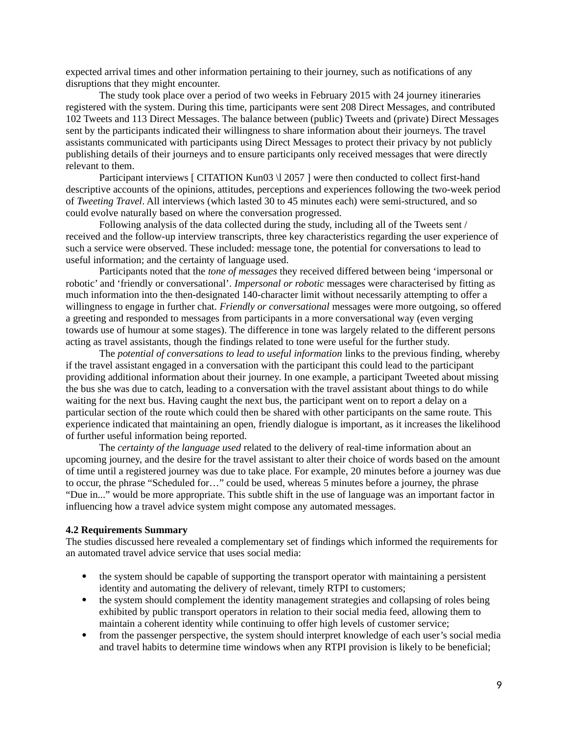expected arrival times and other information pertaining to their journey, such as notifications of any disruptions that they might encounter.

The study took place over a period of two weeks in February 2015 with 24 journey itineraries registered with the system. During this time, participants were sent 208 Direct Messages, and contributed 102 Tweets and 113 Direct Messages. The balance between (public) Tweets and (private) Direct Messages sent by the participants indicated their willingness to share information about their journeys. The travel assistants communicated with participants using Direct Messages to protect their privacy by not publicly publishing details of their journeys and to ensure participants only received messages that were directly relevant to them.

Participant interviews [ CITATION Kun03 \l 2057 ] were then conducted to collect first-hand descriptive accounts of the opinions, attitudes, perceptions and experiences following the two-week period of *Tweeting Travel*. All interviews (which lasted 30 to 45 minutes each) were semi-structured, and so could evolve naturally based on where the conversation progressed.

Following analysis of the data collected during the study, including all of the Tweets sent / received and the follow-up interview transcripts, three key characteristics regarding the user experience of such a service were observed. These included: message tone, the potential for conversations to lead to useful information; and the certainty of language used.

Participants noted that the *tone of messages* they received differed between being 'impersonal or robotic' and 'friendly or conversational'. *Impersonal or robotic* messages were characterised by fitting as much information into the then-designated 140-character limit without necessarily attempting to offer a willingness to engage in further chat. *Friendly or conversational* messages were more outgoing, so offered a greeting and responded to messages from participants in a more conversational way (even verging towards use of humour at some stages). The difference in tone was largely related to the different persons acting as travel assistants, though the findings related to tone were useful for the further study.

The *potential of conversations to lead to useful information* links to the previous finding, whereby if the travel assistant engaged in a conversation with the participant this could lead to the participant providing additional information about their journey. In one example, a participant Tweeted about missing the bus she was due to catch, leading to a conversation with the travel assistant about things to do while waiting for the next bus. Having caught the next bus, the participant went on to report a delay on a particular section of the route which could then be shared with other participants on the same route. This experience indicated that maintaining an open, friendly dialogue is important, as it increases the likelihood of further useful information being reported.

The *certainty of the language used* related to the delivery of real-time information about an upcoming journey, and the desire for the travel assistant to alter their choice of words based on the amount of time until a registered journey was due to take place. For example, 20 minutes before a journey was due to occur, the phrase "Scheduled for…" could be used, whereas 5 minutes before a journey, the phrase "Due in..." would be more appropriate. This subtle shift in the use of language was an important factor in influencing how a travel advice system might compose any automated messages.

### **4.2 Requirements Summary**

The studies discussed here revealed a complementary set of findings which informed the requirements for an automated travel advice service that uses social media:

- the system should be capable of supporting the transport operator with maintaining a persistent identity and automating the delivery of relevant, timely RTPI to customers;
- the system should complement the identity management strategies and collapsing of roles being exhibited by public transport operators in relation to their social media feed, allowing them to maintain a coherent identity while continuing to offer high levels of customer service;
- from the passenger perspective, the system should interpret knowledge of each user's social media and travel habits to determine time windows when any RTPI provision is likely to be beneficial;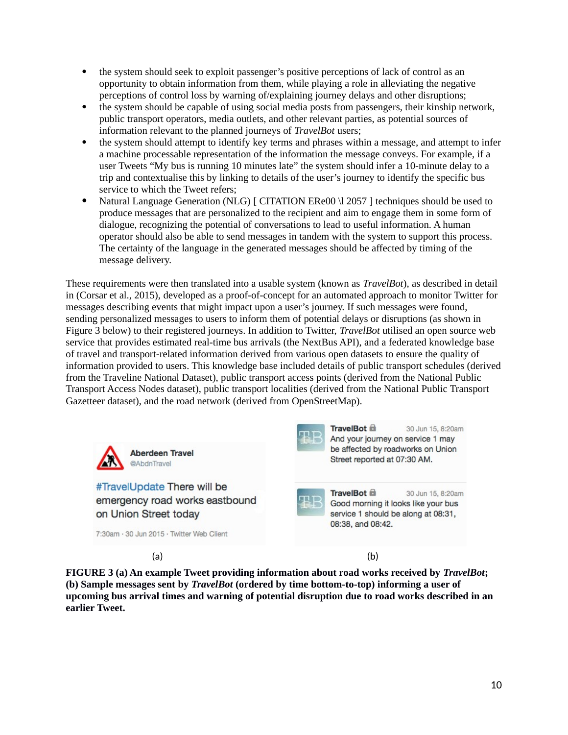- the system should seek to exploit passenger's positive perceptions of lack of control as an opportunity to obtain information from them, while playing a role in alleviating the negative perceptions of control loss by warning of/explaining journey delays and other disruptions;
- the system should be capable of using social media posts from passengers, their kinship network, public transport operators, media outlets, and other relevant parties, as potential sources of information relevant to the planned journeys of *TravelBot* users;
- the system should attempt to identify key terms and phrases within a message, and attempt to infer a machine processable representation of the information the message conveys. For example, if a user Tweets "My bus is running 10 minutes late" the system should infer a 10-minute delay to a trip and contextualise this by linking to details of the user's journey to identify the specific bus service to which the Tweet refers;
- Natural Language Generation (NLG) [ CITATION ERe00 \l 2057 ] techniques should be used to produce messages that are personalized to the recipient and aim to engage them in some form of dialogue, recognizing the potential of conversations to lead to useful information. A human operator should also be able to send messages in tandem with the system to support this process. The certainty of the language in the generated messages should be affected by timing of the message delivery.

These requirements were then translated into a usable system (known as *TravelBot*), as described in detail in (Corsar et al., 2015), developed as a proof-of-concept for an automated approach to monitor Twitter for messages describing events that might impact upon a user's journey. If such messages were found, sending personalized messages to users to inform them of potential delays or disruptions (as shown in Figure 3 below) to their registered journeys. In addition to Twitter, *TravelBot* utilised an open source web service that provides estimated real-time bus arrivals (the NextBus API), and a federated knowledge base of travel and transport-related information derived from various open datasets to ensure the quality of information provided to users. This knowledge base included details of public transport schedules (derived from the Traveline National Dataset), public transport access points (derived from the National Public Transport Access Nodes dataset), public transport localities (derived from the National Public Transport Gazetteer dataset), and the road network (derived from OpenStreetMap).



**FIGURE 3 (a) An example Tweet providing information about road works received by** *TravelBot***; (b) Sample messages sent by** *TravelBot* **(ordered by time bottom-to-top) informing a user of upcoming bus arrival times and warning of potential disruption due to road works described in an earlier Tweet.**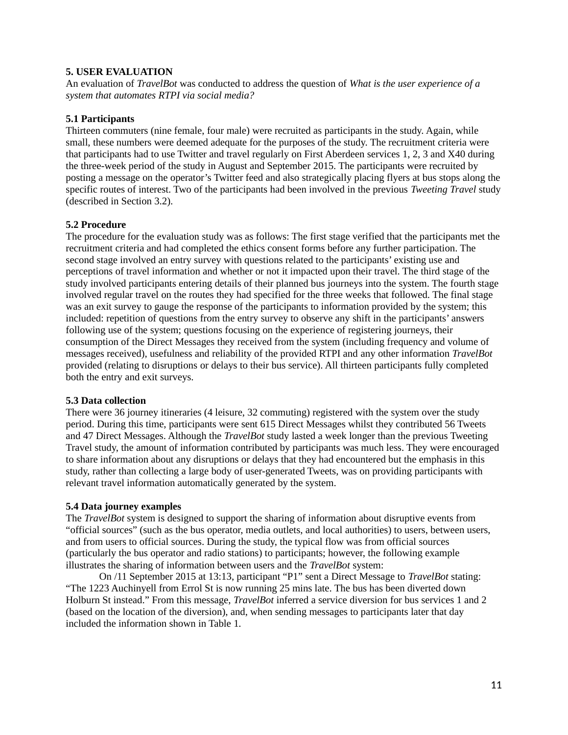# **5. USER EVALUATION**

An evaluation of *TravelBot* was conducted to address the question of *What is the user experience of a system that automates RTPI via social media?* 

### **5.1 Participants**

Thirteen commuters (nine female, four male) were recruited as participants in the study. Again, while small, these numbers were deemed adequate for the purposes of the study. The recruitment criteria were that participants had to use Twitter and travel regularly on First Aberdeen services 1, 2, 3 and X40 during the three-week period of the study in August and September 2015. The participants were recruited by posting a message on the operator's Twitter feed and also strategically placing flyers at bus stops along the specific routes of interest. Two of the participants had been involved in the previous *Tweeting Travel* study (described in Section 3.2).

### **5.2 Procedure**

The procedure for the evaluation study was as follows: The first stage verified that the participants met the recruitment criteria and had completed the ethics consent forms before any further participation. The second stage involved an entry survey with questions related to the participants' existing use and perceptions of travel information and whether or not it impacted upon their travel. The third stage of the study involved participants entering details of their planned bus journeys into the system. The fourth stage involved regular travel on the routes they had specified for the three weeks that followed. The final stage was an exit survey to gauge the response of the participants to information provided by the system; this included: repetition of questions from the entry survey to observe any shift in the participants' answers following use of the system; questions focusing on the experience of registering journeys, their consumption of the Direct Messages they received from the system (including frequency and volume of messages received), usefulness and reliability of the provided RTPI and any other information *TravelBot* provided (relating to disruptions or delays to their bus service). All thirteen participants fully completed both the entry and exit surveys.

# **5.3 Data collection**

There were 36 journey itineraries (4 leisure, 32 commuting) registered with the system over the study period. During this time, participants were sent 615 Direct Messages whilst they contributed 56 Tweets and 47 Direct Messages. Although the *TravelBot* study lasted a week longer than the previous Tweeting Travel study, the amount of information contributed by participants was much less. They were encouraged to share information about any disruptions or delays that they had encountered but the emphasis in this study, rather than collecting a large body of user-generated Tweets, was on providing participants with relevant travel information automatically generated by the system.

# **5.4 Data journey examples**

The *TravelBot* system is designed to support the sharing of information about disruptive events from "official sources" (such as the bus operator, media outlets, and local authorities) to users, between users, and from users to official sources. During the study, the typical flow was from official sources (particularly the bus operator and radio stations) to participants; however, the following example illustrates the sharing of information between users and the *TravelBot* system:

On /11 September 2015 at 13:13, participant "P1" sent a Direct Message to *TravelBot* stating: "The 1223 Auchinyell from Errol St is now running 25 mins late. The bus has been diverted down Holburn St instead." From this message, *TravelBot* inferred a service diversion for bus services 1 and 2 (based on the location of the diversion), and, when sending messages to participants later that day included the information shown in Table 1.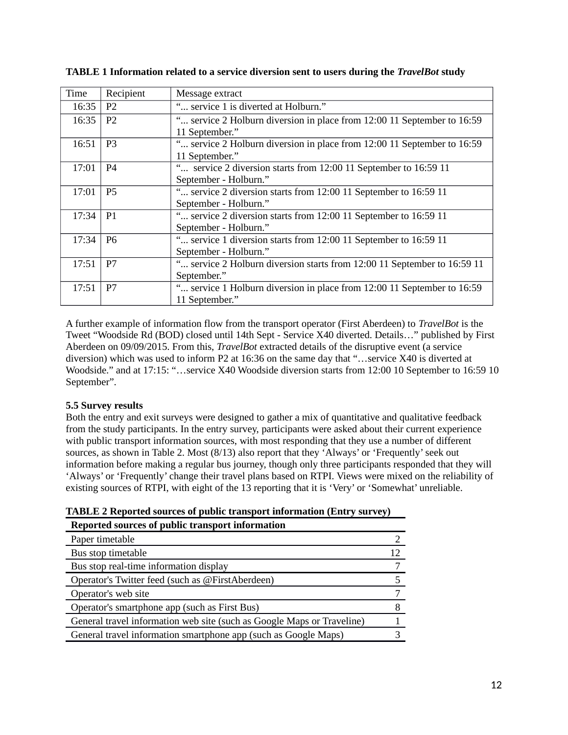| Time  | Recipient      | Message extract                                                                           |
|-------|----------------|-------------------------------------------------------------------------------------------|
| 16:35 | P <sub>2</sub> | " service 1 is diverted at Holburn."                                                      |
| 16:35 | P <sub>2</sub> | " service 2 Holburn diversion in place from 12:00 11 September to 16:59<br>11 September." |
| 16:51 | P <sub>3</sub> | " service 2 Holburn diversion in place from 12:00 11 September to 16:59<br>11 September." |
| 17:01 | P4             | " service 2 diversion starts from 12:00 11 September to 16:59 11<br>September - Holburn." |
| 17:01 | <b>P5</b>      | " service 2 diversion starts from 12:00 11 September to 16:59 11<br>September - Holburn." |
| 17:34 | <b>P1</b>      | " service 2 diversion starts from 12:00 11 September to 16:59 11<br>September - Holburn." |
| 17:34 | P <sub>6</sub> | " service 1 diversion starts from 12:00 11 September to 16:59 11<br>September - Holburn." |
| 17:51 | P7             | " service 2 Holburn diversion starts from 12:00 11 September to 16:59 11<br>September."   |
| 17:51 | P7             | " service 1 Holburn diversion in place from 12:00 11 September to 16:59<br>11 September." |

**TABLE 1 Information related to a service diversion sent to users during the** *TravelBot* **study**

A further example of information flow from the transport operator (First Aberdeen) to *TravelBot* is the Tweet "Woodside Rd (BOD) closed until 14th Sept - Service X40 diverted. Details…" published by First Aberdeen on 09/09/2015. From this, *TravelBot* extracted details of the disruptive event (a service diversion) which was used to inform P2 at 16:36 on the same day that "…service X40 is diverted at Woodside." and at 17:15: "…service X40 Woodside diversion starts from 12:00 10 September to 16:59 10 September".

# **5.5 Survey results**

Both the entry and exit surveys were designed to gather a mix of quantitative and qualitative feedback from the study participants. In the entry survey, participants were asked about their current experience with public transport information sources, with most responding that they use a number of different sources, as shown in Table 2. Most (8/13) also report that they 'Always' or 'Frequently' seek out information before making a regular bus journey, though only three participants responded that they will 'Always' or 'Frequently' change their travel plans based on RTPI. Views were mixed on the reliability of existing sources of RTPI, with eight of the 13 reporting that it is 'Very' or 'Somewhat' unreliable.

| Reported sources of public transport information                       |    |
|------------------------------------------------------------------------|----|
| Paper timetable                                                        |    |
| Bus stop timetable                                                     | 12 |
| Bus stop real-time information display                                 |    |
| Operator's Twitter feed (such as @FirstAberdeen)                       |    |
| Operator's web site                                                    |    |
| Operator's smartphone app (such as First Bus)                          |    |
| General travel information web site (such as Google Maps or Traveline) |    |
| General travel information smartphone app (such as Google Maps)        |    |
|                                                                        |    |

**TABLE 2 Reported sources of public transport information (Entry survey)**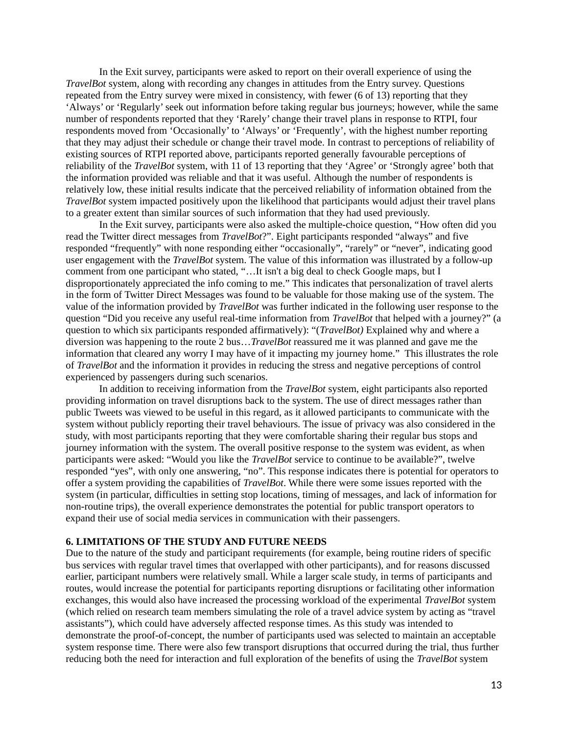In the Exit survey, participants were asked to report on their overall experience of using the *TravelBot* system, along with recording any changes in attitudes from the Entry survey. Questions repeated from the Entry survey were mixed in consistency, with fewer (6 of 13) reporting that they 'Always' or 'Regularly' seek out information before taking regular bus journeys; however, while the same number of respondents reported that they 'Rarely' change their travel plans in response to RTPI, four respondents moved from 'Occasionally' to 'Always' or 'Frequently', with the highest number reporting that they may adjust their schedule or change their travel mode. In contrast to perceptions of reliability of existing sources of RTPI reported above, participants reported generally favourable perceptions of reliability of the *TravelBot* system, with 11 of 13 reporting that they 'Agree' or 'Strongly agree' both that the information provided was reliable and that it was useful. Although the number of respondents is relatively low, these initial results indicate that the perceived reliability of information obtained from the *TravelBot* system impacted positively upon the likelihood that participants would adjust their travel plans to a greater extent than similar sources of such information that they had used previously.

In the Exit survey, participants were also asked the multiple-choice question, "How often did you read the Twitter direct messages from *TravelBot*?". Eight participants responded "always" and five responded "frequently" with none responding either "occasionally", "rarely" or "never", indicating good user engagement with the *TravelBot* system. The value of this information was illustrated by a follow-up comment from one participant who stated, "…It isn't a big deal to check Google maps, but I disproportionately appreciated the info coming to me." This indicates that personalization of travel alerts in the form of Twitter Direct Messages was found to be valuable for those making use of the system. The value of the information provided by *TravelBot* was further indicated in the following user response to the question "Did you receive any useful real-time information from *TravelBot* that helped with a journey?" (a question to which six participants responded affirmatively): "(*TravelBot)* Explained why and where a diversion was happening to the route 2 bus…*TravelBot* reassured me it was planned and gave me the information that cleared any worry I may have of it impacting my journey home." This illustrates the role of *TravelBot* and the information it provides in reducing the stress and negative perceptions of control experienced by passengers during such scenarios.

In addition to receiving information from the *TravelBot* system, eight participants also reported providing information on travel disruptions back to the system. The use of direct messages rather than public Tweets was viewed to be useful in this regard, as it allowed participants to communicate with the system without publicly reporting their travel behaviours. The issue of privacy was also considered in the study, with most participants reporting that they were comfortable sharing their regular bus stops and journey information with the system. The overall positive response to the system was evident, as when participants were asked: "Would you like the *TravelBot* service to continue to be available?", twelve responded "yes", with only one answering, "no". This response indicates there is potential for operators to offer a system providing the capabilities of *TravelBot*. While there were some issues reported with the system (in particular, difficulties in setting stop locations, timing of messages, and lack of information for non-routine trips), the overall experience demonstrates the potential for public transport operators to expand their use of social media services in communication with their passengers.

#### **6. LIMITATIONS OF THE STUDY AND FUTURE NEEDS**

Due to the nature of the study and participant requirements (for example, being routine riders of specific bus services with regular travel times that overlapped with other participants), and for reasons discussed earlier, participant numbers were relatively small. While a larger scale study, in terms of participants and routes, would increase the potential for participants reporting disruptions or facilitating other information exchanges, this would also have increased the processing workload of the experimental *TravelBot* system (which relied on research team members simulating the role of a travel advice system by acting as "travel assistants"), which could have adversely affected response times. As this study was intended to demonstrate the proof-of-concept, the number of participants used was selected to maintain an acceptable system response time. There were also few transport disruptions that occurred during the trial, thus further reducing both the need for interaction and full exploration of the benefits of using the *TravelBot* system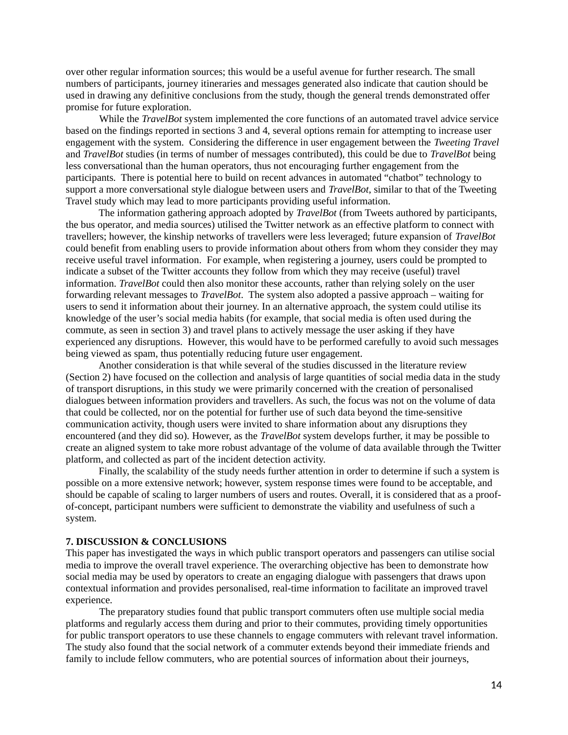over other regular information sources; this would be a useful avenue for further research. The small numbers of participants, journey itineraries and messages generated also indicate that caution should be used in drawing any definitive conclusions from the study, though the general trends demonstrated offer promise for future exploration.

While the *TravelBot* system implemented the core functions of an automated travel advice service based on the findings reported in sections 3 and 4, several options remain for attempting to increase user engagement with the system. Considering the difference in user engagement between the *Tweeting Travel* and *TravelBot* studies (in terms of number of messages contributed), this could be due to *TravelBot* being less conversational than the human operators, thus not encouraging further engagement from the participants. There is potential here to build on recent advances in automated "chatbot" technology to support a more conversational style dialogue between users and *TravelBot*, similar to that of the Tweeting Travel study which may lead to more participants providing useful information.

The information gathering approach adopted by *TravelBot* (from Tweets authored by participants, the bus operator, and media sources) utilised the Twitter network as an effective platform to connect with travellers; however, the kinship networks of travellers were less leveraged; future expansion of *TravelBot* could benefit from enabling users to provide information about others from whom they consider they may receive useful travel information. For example, when registering a journey, users could be prompted to indicate a subset of the Twitter accounts they follow from which they may receive (useful) travel information. *TravelBot* could then also monitor these accounts, rather than relying solely on the user forwarding relevant messages to *TravelBot*. The system also adopted a passive approach – waiting for users to send it information about their journey. In an alternative approach, the system could utilise its knowledge of the user's social media habits (for example, that social media is often used during the commute, as seen in section 3) and travel plans to actively message the user asking if they have experienced any disruptions. However, this would have to be performed carefully to avoid such messages being viewed as spam, thus potentially reducing future user engagement.

Another consideration is that while several of the studies discussed in the literature review (Section 2) have focused on the collection and analysis of large quantities of social media data in the study of transport disruptions, in this study we were primarily concerned with the creation of personalised dialogues between information providers and travellers. As such, the focus was not on the volume of data that could be collected, nor on the potential for further use of such data beyond the time-sensitive communication activity, though users were invited to share information about any disruptions they encountered (and they did so). However, as the *TravelBot* system develops further, it may be possible to create an aligned system to take more robust advantage of the volume of data available through the Twitter platform, and collected as part of the incident detection activity.

Finally, the scalability of the study needs further attention in order to determine if such a system is possible on a more extensive network; however, system response times were found to be acceptable, and should be capable of scaling to larger numbers of users and routes. Overall, it is considered that as a proofof-concept, participant numbers were sufficient to demonstrate the viability and usefulness of such a system.

### **7. DISCUSSION & CONCLUSIONS**

This paper has investigated the ways in which public transport operators and passengers can utilise social media to improve the overall travel experience. The overarching objective has been to demonstrate how social media may be used by operators to create an engaging dialogue with passengers that draws upon contextual information and provides personalised, real-time information to facilitate an improved travel experience.

The preparatory studies found that public transport commuters often use multiple social media platforms and regularly access them during and prior to their commutes, providing timely opportunities for public transport operators to use these channels to engage commuters with relevant travel information. The study also found that the social network of a commuter extends beyond their immediate friends and family to include fellow commuters, who are potential sources of information about their journeys,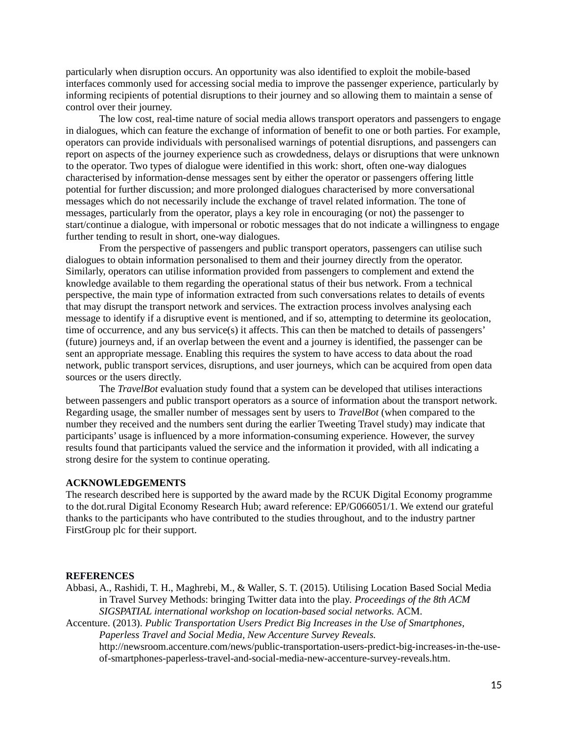particularly when disruption occurs. An opportunity was also identified to exploit the mobile-based interfaces commonly used for accessing social media to improve the passenger experience, particularly by informing recipients of potential disruptions to their journey and so allowing them to maintain a sense of control over their journey.

The low cost, real-time nature of social media allows transport operators and passengers to engage in dialogues, which can feature the exchange of information of benefit to one or both parties. For example, operators can provide individuals with personalised warnings of potential disruptions, and passengers can report on aspects of the journey experience such as crowdedness, delays or disruptions that were unknown to the operator. Two types of dialogue were identified in this work: short, often one-way dialogues characterised by information-dense messages sent by either the operator or passengers offering little potential for further discussion; and more prolonged dialogues characterised by more conversational messages which do not necessarily include the exchange of travel related information. The tone of messages, particularly from the operator, plays a key role in encouraging (or not) the passenger to start/continue a dialogue, with impersonal or robotic messages that do not indicate a willingness to engage further tending to result in short, one-way dialogues.

From the perspective of passengers and public transport operators, passengers can utilise such dialogues to obtain information personalised to them and their journey directly from the operator. Similarly, operators can utilise information provided from passengers to complement and extend the knowledge available to them regarding the operational status of their bus network. From a technical perspective, the main type of information extracted from such conversations relates to details of events that may disrupt the transport network and services. The extraction process involves analysing each message to identify if a disruptive event is mentioned, and if so, attempting to determine its geolocation, time of occurrence, and any bus service(s) it affects. This can then be matched to details of passengers' (future) journeys and, if an overlap between the event and a journey is identified, the passenger can be sent an appropriate message. Enabling this requires the system to have access to data about the road network, public transport services, disruptions, and user journeys, which can be acquired from open data sources or the users directly.

The *TravelBot* evaluation study found that a system can be developed that utilises interactions between passengers and public transport operators as a source of information about the transport network. Regarding usage, the smaller number of messages sent by users to *TravelBot* (when compared to the number they received and the numbers sent during the earlier Tweeting Travel study) may indicate that participants' usage is influenced by a more information-consuming experience. However, the survey results found that participants valued the service and the information it provided, with all indicating a strong desire for the system to continue operating.

### **ACKNOWLEDGEMENTS**

The research described here is supported by the award made by the RCUK Digital Economy programme to the dot.rural Digital Economy Research Hub; award reference: EP/G066051/1. We extend our grateful thanks to the participants who have contributed to the studies throughout, and to the industry partner FirstGroup plc for their support.

### **REFERENCES**

Abbasi, A., Rashidi, T. H., Maghrebi, M., & Waller, S. T. (2015). Utilising Location Based Social Media in Travel Survey Methods: bringing Twitter data into the play. *Proceedings of the 8th ACM SIGSPATIAL international workshop on location-based social networks.* ACM.

Accenture. (2013). *Public Transportation Users Predict Big Increases in the Use of Smartphones, Paperless Travel and Social Media, New Accenture Survey Reveals.*

http://newsroom.accenture.com/news/public-transportation-users-predict-big-increases-in-the-useof-smartphones-paperless-travel-and-social-media-new-accenture-survey-reveals.htm.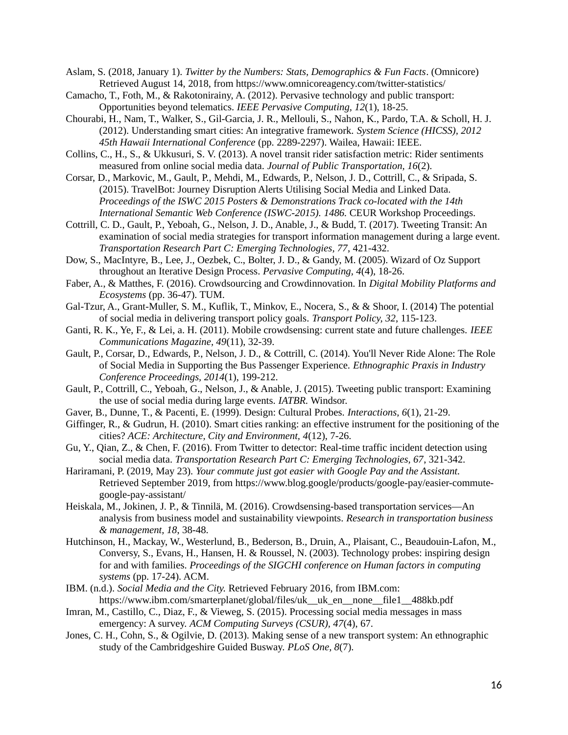Aslam, S. (2018, January 1). *Twitter by the Numbers: Stats, Demographics & Fun Facts*. (Omnicore) Retrieved August 14, 2018, from https://www.omnicoreagency.com/twitter-statistics/

- Camacho, T., Foth, M., & Rakotonirainy, A. (2012). Pervasive technology and public transport: Opportunities beyond telematics. *IEEE Pervasive Computing, 12*(1), 18-25.
- Chourabi, H., Nam, T., Walker, S., Gil-Garcia, J. R., Mellouli, S., Nahon, K., Pardo, T.A. & Scholl, H. J. (2012). Understanding smart cities: An integrative framework. *System Science (HICSS), 2012 45th Hawaii International Conference* (pp. 2289-2297). Wailea, Hawaii: IEEE.
- Collins, C., H., S., & Ukkusuri, S. V. (2013). A novel transit rider satisfaction metric: Rider sentiments measured from online social media data. *Journal of Public Transportation, 16*(2).
- Corsar, D., Markovic, M., Gault, P., Mehdi, M., Edwards, P., Nelson, J. D., Cottrill, C., & Sripada, S. (2015). TravelBot: Journey Disruption Alerts Utilising Social Media and Linked Data. *Proceedings of the ISWC 2015 Posters & Demonstrations Track co-located with the 14th International Semantic Web Conference (ISWC-2015). 1486.* CEUR Workshop Proceedings.
- Cottrill, C. D., Gault, P., Yeboah, G., Nelson, J. D., Anable, J., & Budd, T. (2017). Tweeting Transit: An examination of social media strategies for transport information management during a large event. *Transportation Research Part C: Emerging Technologies, 77*, 421-432.
- Dow, S., MacIntyre, B., Lee, J., Oezbek, C., Bolter, J. D., & Gandy, M. (2005). Wizard of Oz Support throughout an Iterative Design Process. *Pervasive Computing, 4*(4), 18-26.
- Faber, A., & Matthes, F. (2016). Crowdsourcing and Crowdinnovation. In *Digital Mobility Platforms and Ecosystems* (pp. 36-47). TUM.
- Gal-Tzur, A., Grant-Muller, S. M., Kuflik, T., Minkov, E., Nocera, S., & & Shoor, I. (2014) The potential of social media in delivering transport policy goals. *Transport Policy, 32*, 115-123.
- Ganti, R. K., Ye, F., & Lei, a. H. (2011). Mobile crowdsensing: current state and future challenges. *IEEE Communications Magazine, 49*(11), 32-39.
- Gault, P., Corsar, D., Edwards, P., Nelson, J. D., & Cottrill, C. (2014). You'll Never Ride Alone: The Role of Social Media in Supporting the Bus Passenger Experience. *Ethnographic Praxis in Industry Conference Proceedings, 2014*(1), 199-212.
- Gault, P., Cottrill, C., Yeboah, G., Nelson, J., & Anable, J. (2015). Tweeting public transport: Examining the use of social media during large events. *IATBR.* Windsor.
- Gaver, B., Dunne, T., & Pacenti, E. (1999). Design: Cultural Probes. *Interactions, 6*(1), 21-29.
- Giffinger, R., & Gudrun, H. (2010). Smart cities ranking: an effective instrument for the positioning of the cities? *ACE: Architecture, City and Environment, 4*(12), 7-26.
- Gu, Y., Qian, Z., & Chen, F. (2016). From Twitter to detector: Real-time traffic incident detection using social media data. *Transportation Research Part C: Emerging Technologies, 67*, 321-342.
- Hariramani, P. (2019, May 23). *Your commute just got easier with Google Pay and the Assistant.* Retrieved September 2019, from https://www.blog.google/products/google-pay/easier-commutegoogle-pay-assistant/
- Heiskala, M., Jokinen, J. P., & Tinnilä, M. (2016). Crowdsensing-based transportation services—An analysis from business model and sustainability viewpoints. *Research in transportation business & management, 18*, 38-48.
- Hutchinson, H., Mackay, W., Westerlund, B., Bederson, B., Druin, A., Plaisant, C., Beaudouin-Lafon, M., Conversy, S., Evans, H., Hansen, H. & Roussel, N. (2003). Technology probes: inspiring design for and with families. *Proceedings of the SIGCHI conference on Human factors in computing systems* (pp. 17-24). ACM.
- IBM. (n.d.). *Social Media and the City.* Retrieved February 2016, from IBM.com: https://www.ibm.com/smarterplanet/global/files/uk\_\_uk\_en\_\_none\_\_file1\_\_488kb.pdf
- Imran, M., Castillo, C., Diaz, F., & Vieweg, S. (2015). Processing social media messages in mass emergency: A survey. *ACM Computing Surveys (CSUR), 47*(4), 67.
- Jones, C. H., Cohn, S., & Ogilvie, D. (2013). Making sense of a new transport system: An ethnographic study of the Cambridgeshire Guided Busway. *PLoS One, 8*(7).